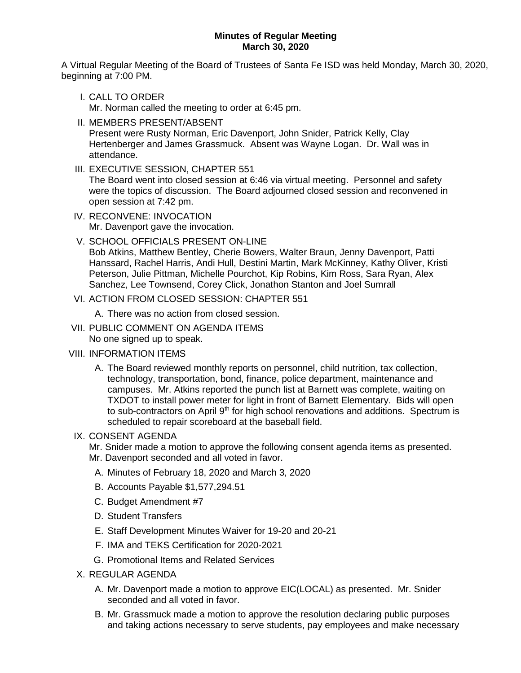### **Minutes of Regular Meeting March 30, 2020**

A Virtual Regular Meeting of the Board of Trustees of Santa Fe ISD was held Monday, March 30, 2020, beginning at 7:00 PM.

- I. CALL TO ORDER Mr. Norman called the meeting to order at 6:45 pm.
- II. MEMBERS PRESENT/ABSENT Present were Rusty Norman, Eric Davenport, John Snider, Patrick Kelly, Clay Hertenberger and James Grassmuck. Absent was Wayne Logan. Dr. Wall was in attendance.
- III. EXECUTIVE SESSION, CHAPTER 551

The Board went into closed session at 6:46 via virtual meeting. Personnel and safety were the topics of discussion. The Board adjourned closed session and reconvened in open session at 7:42 pm.

- IV. RECONVENE: INVOCATION Mr. Davenport gave the invocation.
- V. SCHOOL OFFICIALS PRESENT ON-LINE

Bob Atkins, Matthew Bentley, Cherie Bowers, Walter Braun, Jenny Davenport, Patti Hanssard, Rachel Harris, Andi Hull, Destini Martin, Mark McKinney, Kathy Oliver, Kristi Peterson, Julie Pittman, Michelle Pourchot, Kip Robins, Kim Ross, Sara Ryan, Alex Sanchez, Lee Townsend, Corey Click, Jonathon Stanton and Joel Sumrall

## VI. ACTION FROM CLOSED SESSION: CHAPTER 551

A. There was no action from closed session.

VII. PUBLIC COMMENT ON AGENDA ITEMS No one signed up to speak.

## VIII. INFORMATION ITEMS

A. The Board reviewed monthly reports on personnel, child nutrition, tax collection, technology, transportation, bond, finance, police department, maintenance and campuses. Mr. Atkins reported the punch list at Barnett was complete, waiting on TXDOT to install power meter for light in front of Barnett Elementary. Bids will open to sub-contractors on April  $9<sup>th</sup>$  for high school renovations and additions. Spectrum is scheduled to repair scoreboard at the baseball field.

# IX. CONSENT AGENDA

Mr. Snider made a motion to approve the following consent agenda items as presented. Mr. Davenport seconded and all voted in favor.

- A. Minutes of February 18, 2020 and March 3, 2020
- B. Accounts Payable \$1,577,294.51
- C. Budget Amendment #7
- D. Student Transfers
- E. Staff Development Minutes Waiver for 19-20 and 20-21
- F. IMA and TEKS Certification for 2020-2021
- G. Promotional Items and Related Services
- X. REGULAR AGENDA
	- A. Mr. Davenport made a motion to approve EIC(LOCAL) as presented. Mr. Snider seconded and all voted in favor.
	- B. Mr. Grassmuck made a motion to approve the resolution declaring public purposes and taking actions necessary to serve students, pay employees and make necessary